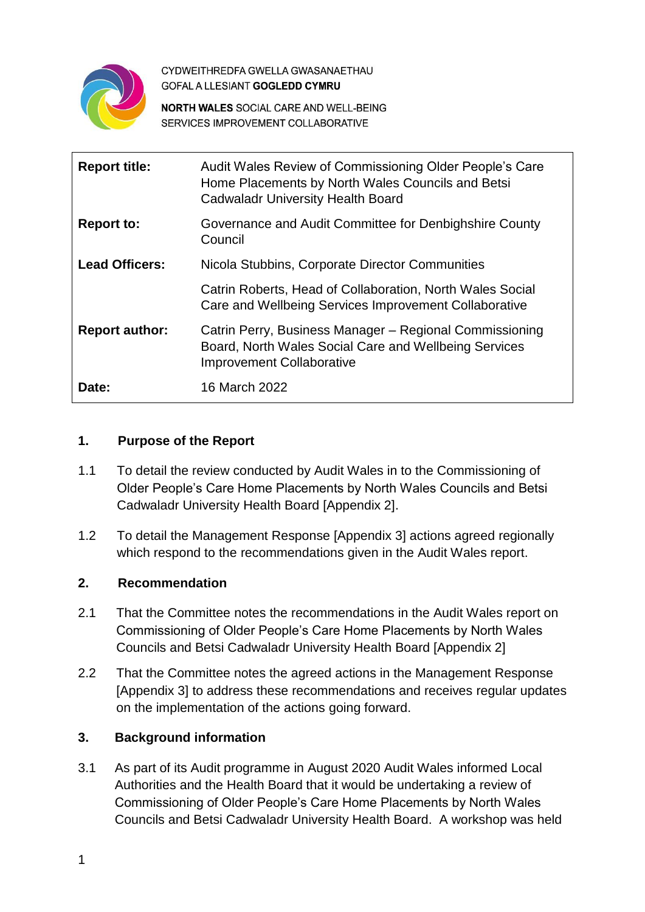

CYDWEITHREDFA GWELLA GWASANAETHAU **GOFAL A LLESIANT GOGLEDD CYMRU** 

**NORTH WALES SOCIAL CARE AND WELL-BEING** SERVICES IMPROVEMENT COLLABORATIVE

| <b>Report title:</b>  | Audit Wales Review of Commissioning Older People's Care<br>Home Placements by North Wales Councils and Betsi<br><b>Cadwaladr University Health Board</b> |
|-----------------------|----------------------------------------------------------------------------------------------------------------------------------------------------------|
| <b>Report to:</b>     | Governance and Audit Committee for Denbighshire County<br>Council                                                                                        |
| <b>Lead Officers:</b> | Nicola Stubbins, Corporate Director Communities                                                                                                          |
|                       | Catrin Roberts, Head of Collaboration, North Wales Social<br>Care and Wellbeing Services Improvement Collaborative                                       |
| <b>Report author:</b> | Catrin Perry, Business Manager – Regional Commissioning<br>Board, North Wales Social Care and Wellbeing Services<br><b>Improvement Collaborative</b>     |
| Date:                 | 16 March 2022                                                                                                                                            |

## **1. Purpose of the Report**

- 1.1 To detail the review conducted by Audit Wales in to the Commissioning of Older People's Care Home Placements by North Wales Councils and Betsi Cadwaladr University Health Board [Appendix 2].
- 1.2 To detail the Management Response [Appendix 3] actions agreed regionally which respond to the recommendations given in the Audit Wales report.

## **2. Recommendation**

- 2.1 That the Committee notes the recommendations in the Audit Wales report on Commissioning of Older People's Care Home Placements by North Wales Councils and Betsi Cadwaladr University Health Board [Appendix 2]
- 2.2 That the Committee notes the agreed actions in the Management Response [Appendix 3] to address these recommendations and receives regular updates on the implementation of the actions going forward.

## **3. Background information**

3.1 As part of its Audit programme in August 2020 Audit Wales informed Local Authorities and the Health Board that it would be undertaking a review of Commissioning of Older People's Care Home Placements by North Wales Councils and Betsi Cadwaladr University Health Board. A workshop was held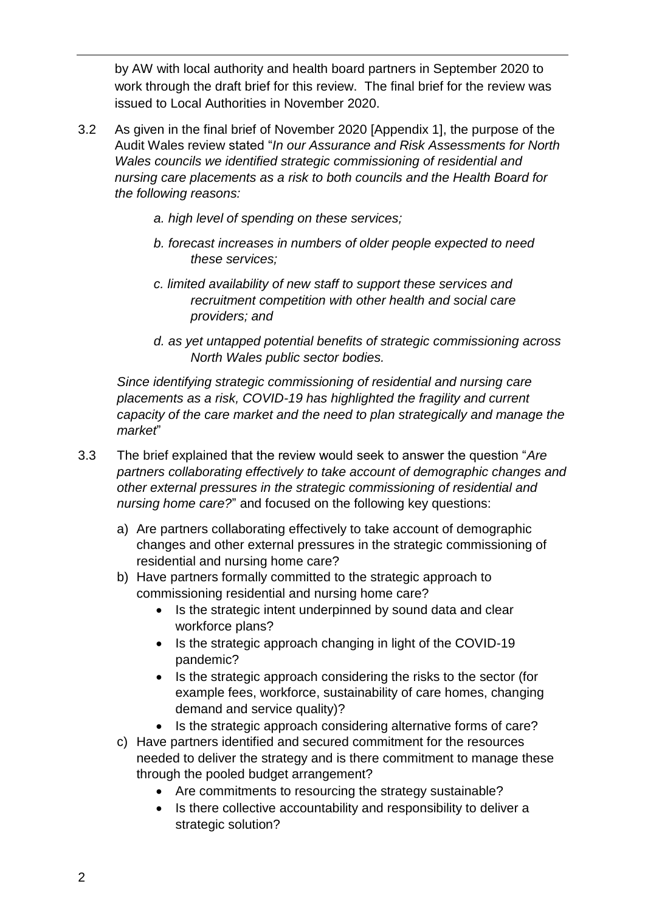by AW with local authority and health board partners in September 2020 to work through the draft brief for this review. The final brief for the review was issued to Local Authorities in November 2020.

- 3.2 As given in the final brief of November 2020 [Appendix 1], the purpose of the Audit Wales review stated "*In our Assurance and Risk Assessments for North Wales councils we identified strategic commissioning of residential and nursing care placements as a risk to both councils and the Health Board for the following reasons:*
	- *a. high level of spending on these services;*
	- *b. forecast increases in numbers of older people expected to need these services;*
	- *c. limited availability of new staff to support these services and recruitment competition with other health and social care providers; and*
	- *d. as yet untapped potential benefits of strategic commissioning across North Wales public sector bodies.*

*Since identifying strategic commissioning of residential and nursing care placements as a risk, COVID-19 has highlighted the fragility and current capacity of the care market and the need to plan strategically and manage the market*"

- 3.3 The brief explained that the review would seek to answer the question "*Are partners collaborating effectively to take account of demographic changes and other external pressures in the strategic commissioning of residential and nursing home care?*" and focused on the following key questions:
	- a) Are partners collaborating effectively to take account of demographic changes and other external pressures in the strategic commissioning of residential and nursing home care?
	- b) Have partners formally committed to the strategic approach to commissioning residential and nursing home care?
		- Is the strategic intent underpinned by sound data and clear workforce plans?
		- Is the strategic approach changing in light of the COVID-19 pandemic?
		- Is the strategic approach considering the risks to the sector (for example fees, workforce, sustainability of care homes, changing demand and service quality)?
		- Is the strategic approach considering alternative forms of care?
	- c) Have partners identified and secured commitment for the resources needed to deliver the strategy and is there commitment to manage these through the pooled budget arrangement?
		- Are commitments to resourcing the strategy sustainable?
		- Is there collective accountability and responsibility to deliver a strategic solution?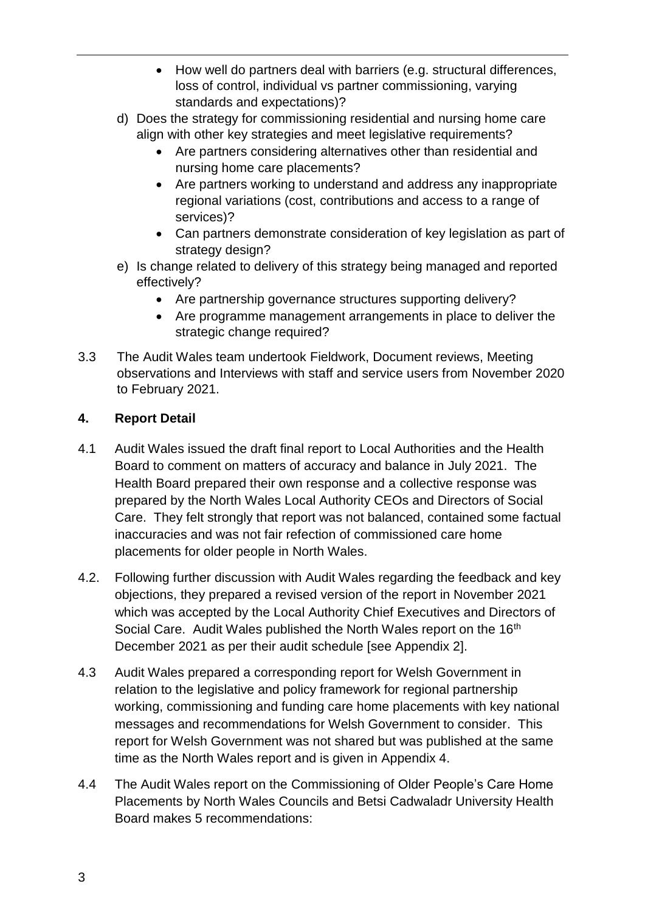- How well do partners deal with barriers (e.g. structural differences, loss of control, individual vs partner commissioning, varying standards and expectations)?
- d) Does the strategy for commissioning residential and nursing home care align with other key strategies and meet legislative requirements?
	- Are partners considering alternatives other than residential and nursing home care placements?
	- Are partners working to understand and address any inappropriate regional variations (cost, contributions and access to a range of services)?
	- Can partners demonstrate consideration of key legislation as part of strategy design?
- e) Is change related to delivery of this strategy being managed and reported effectively?
	- Are partnership governance structures supporting delivery?
	- Are programme management arrangements in place to deliver the strategic change required?
- 3.3 The Audit Wales team undertook Fieldwork, Document reviews, Meeting observations and Interviews with staff and service users from November 2020 to February 2021.

# **4. Report Detail**

- 4.1 Audit Wales issued the draft final report to Local Authorities and the Health Board to comment on matters of accuracy and balance in July 2021. The Health Board prepared their own response and a collective response was prepared by the North Wales Local Authority CEOs and Directors of Social Care. They felt strongly that report was not balanced, contained some factual inaccuracies and was not fair refection of commissioned care home placements for older people in North Wales.
- 4.2. Following further discussion with Audit Wales regarding the feedback and key objections, they prepared a revised version of the report in November 2021 which was accepted by the Local Authority Chief Executives and Directors of Social Care. Audit Wales published the North Wales report on the 16<sup>th</sup> December 2021 as per their audit schedule [see Appendix 2].
- 4.3 Audit Wales prepared a corresponding report for Welsh Government in relation to the legislative and policy framework for regional partnership working, commissioning and funding care home placements with key national messages and recommendations for Welsh Government to consider. This report for Welsh Government was not shared but was published at the same time as the North Wales report and is given in Appendix 4.
- 4.4 The Audit Wales report on the Commissioning of Older People's Care Home Placements by North Wales Councils and Betsi Cadwaladr University Health Board makes 5 recommendations: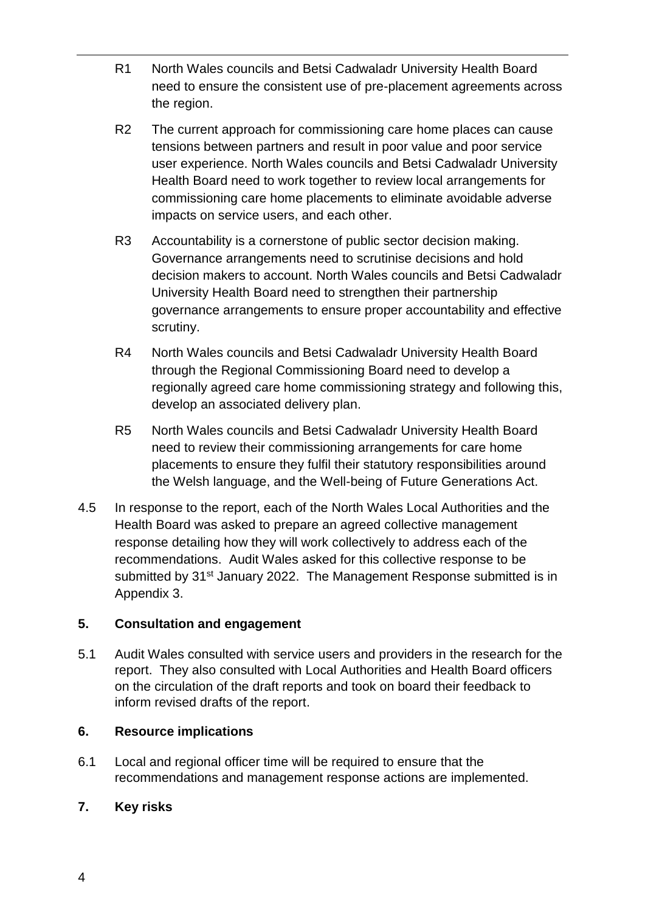- R1 North Wales councils and Betsi Cadwaladr University Health Board need to ensure the consistent use of pre-placement agreements across the region.
- R2 The current approach for commissioning care home places can cause tensions between partners and result in poor value and poor service user experience. North Wales councils and Betsi Cadwaladr University Health Board need to work together to review local arrangements for commissioning care home placements to eliminate avoidable adverse impacts on service users, and each other.
- R3 Accountability is a cornerstone of public sector decision making. Governance arrangements need to scrutinise decisions and hold decision makers to account. North Wales councils and Betsi Cadwaladr University Health Board need to strengthen their partnership governance arrangements to ensure proper accountability and effective scrutiny.
- R4 North Wales councils and Betsi Cadwaladr University Health Board through the Regional Commissioning Board need to develop a regionally agreed care home commissioning strategy and following this, develop an associated delivery plan.
- R5 North Wales councils and Betsi Cadwaladr University Health Board need to review their commissioning arrangements for care home placements to ensure they fulfil their statutory responsibilities around the Welsh language, and the Well-being of Future Generations Act.
- 4.5 In response to the report, each of the North Wales Local Authorities and the Health Board was asked to prepare an agreed collective management response detailing how they will work collectively to address each of the recommendations. Audit Wales asked for this collective response to be submitted by 31<sup>st</sup> January 2022. The Management Response submitted is in Appendix 3.

## **5. Consultation and engagement**

5.1 Audit Wales consulted with service users and providers in the research for the report. They also consulted with Local Authorities and Health Board officers on the circulation of the draft reports and took on board their feedback to inform revised drafts of the report.

## **6. Resource implications**

6.1 Local and regional officer time will be required to ensure that the recommendations and management response actions are implemented.

## **7. Key risks**